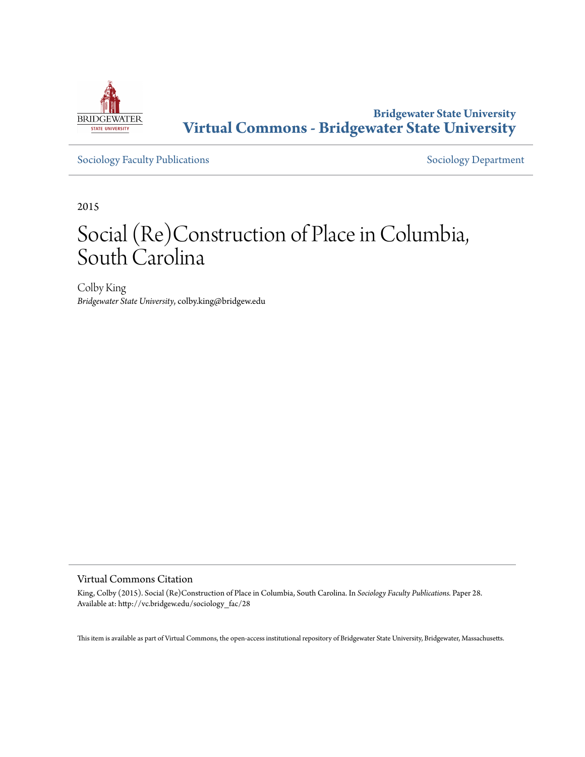

**Bridgewater State University [Virtual Commons - Bridgewater State University](http://vc.bridgew.edu)**

[Sociology Faculty Publications](http://vc.bridgew.edu/sociology_fac) and [Sociology Department](http://vc.bridgew.edu/sociology)

2015

# Social (Re)Construction of Place in Columbia, South Carolina

Colby King *Bridgewater State University*, colby.king@bridgew.edu

## Virtual Commons Citation

King, Colby (2015). Social (Re)Construction of Place in Columbia, South Carolina. In *Sociology Faculty Publications.* Paper 28. Available at: http://vc.bridgew.edu/sociology\_fac/28

This item is available as part of Virtual Commons, the open-access institutional repository of Bridgewater State University, Bridgewater, Massachusetts.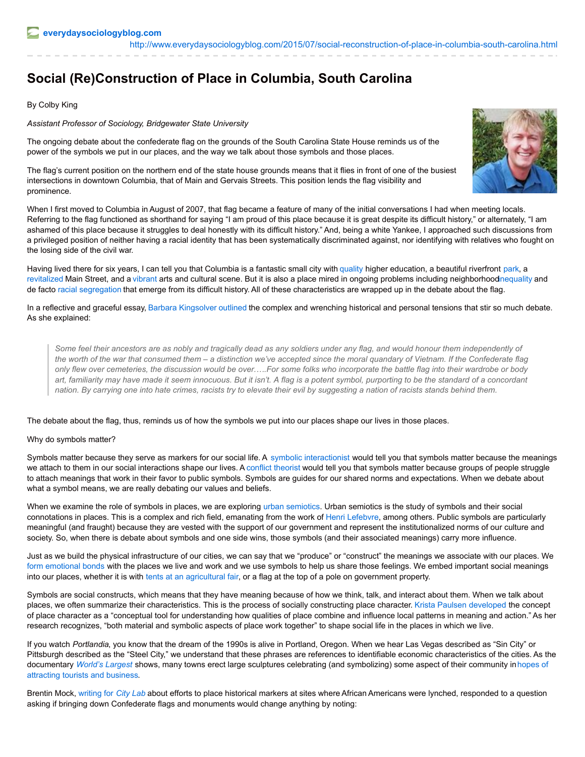# **Social (Re)Construction of Place in Columbia, South Carolina**

# By Colby King

#### *Assistant Professor of Sociology, Bridgewater State University*

The ongoing debate about the confederate flag on the grounds of the South Carolina State House reminds us of the power of the symbols we put in our places, and the way we talk about those symbols and those places.

The flag's current position on the northern end of the state house grounds means that it flies in front of one of the busiest intersections in downtown Columbia, that of Main and Gervais Streets. This position lends the flag visibility and prominence.

When I first moved to Columbia in August of 2007, that flag became a feature of many of the initial conversations I had when meeting locals. Referring to the flag functioned as shorthand for saying "I am proud of this place because it is great despite its difficult history," or alternately, "I am ashamed of this place because it struggles to deal honestly with its difficult history." And, being a white Yankee, I approached such discussions from a privileged position of neither having a racial identity that has been systematically discriminated against, nor identifying with relatives who fought on the losing side of the civil war.

Having lived there for six years, I can tell you that Columbia is a fantastic small city with [quality](http://www.sc.edu/) higher education, a beautiful riverfront [park](http://www.riveralliance.org/3rg.html), a [revitalized](http://www.thestate.com/news/business/article13829627.html) Main Street, and a [vibrant](http://www.onecolumbiasc.com/) arts and cultural scene. But it is also a place mired in ongoing problems including neighborhoodnequality and de facto racial [segregation](http://www.free-times.com/cover/arts-in-black-and-white-032515) that emerge from its difficult history. All of these characteristics are wrapped up in the debate about the flag.

In a reflective and graceful essay, Barbara [Kingsolver](http://www.theguardian.com/commentisfree/2015/jul/03/south-flag-confederate-pride-hatred-racists) [outlined](http://www.theguardian.com/commentisfree/2015/jul/03/south-flag-confederate-pride-hatred-racists) the complex and wrenching historical and personal tensions that stir so much debate. As she explained:

Some feel their ancestors are as nobly and tragically dead as any soldiers under any flag, and would honour them independently of the worth of the war that consumed them – a distinction we've accepted since the moral quandary of Vietnam. If the Confederate flag only flew over cemeteries, the discussion would be over.....For some folks who incorporate the battle flag into their wardrobe or body art, familiarity may have made it seem innocuous. But it isn't. A flag is a potent symbol, purporting to be the standard of a concordant nation. By carrying one into hate crimes, racists try to elevate their evil by suggesting a nation of racists stands behind them.

The debate about the flag, thus, reminds us of how the symbols we put into our places shape our lives in those places.

## Why do symbols matter?

Symbols matter because they serve as markers for our social life. A symbolic [interactionist](https://en.wikipedia.org/wiki/Symbolic_interactionism) would tell you that symbols matter because the meanings we attach to them in our social interactions shape our lives. A conflict [theorist](https://en.wikipedia.org/wiki/Conflict_theories) would tell you that symbols matter because groups of people struggle to attach meanings that work in their favor to public symbols. Symbols are guides for our shared norms and expectations. When we debate about what a symbol means, we are really debating our values and beliefs.

When we examine the role of symbols in places, we are exploring urban [semiotics](https://en.wikipedia.org/wiki/Urban_semiotics). Urban semiotics is the study of symbols and their social connotations in places. This is a complex and rich field, emanating from the work of Henri [Lefebvre](https://en.wikipedia.org/wiki/Henri_Lefebvre), among others. Public symbols are particularly meaningful (and fraught) because they are vested with the support of our government and represent the institutionalized norms of our culture and society. So, when there is debate about symbols and one side wins, those symbols (and their associated meanings) carry more influence.

Just as we build the physical infrastructure of our cities, we can say that we "produce" or "construct" the meanings we associate with our places. We form [emotional](http://www.jstor.org/stable/10.1525/si.1998.21.1.1?seq=1#page_scan_tab_contents) bonds with the places we live and work and we use symbols to help us share those feelings. We embed important social meanings into our places, whether it is with tents at an [agricultural](http://www.tandfonline.com/doi/abs/10.1080/01490400701257922?journalCode=ulsc20#.VZvhCPlViko) fair, or a flag at the top of a pole on government property.

Symbols are social constructs, which means that they have meaning because of how we think, talk, and interact about them. When we talk about places, we often summarize their characteristics. This is the process of socially constructing place character. Krista [Paulsen](http://onlinelibrary.wiley.com/doi/10.1111/j.1535-6841.2004.00080.x/abstract) [developed](http://onlinelibrary.wiley.com/doi/10.1111/j.1535-6841.2004.00080.x/abstract) the concept of place character as a "conceptual tool for understanding how qualities of place combine and influence local patterns in meaning and action." As her research recognizes, "both material and symbolic aspects of place work together" to shape social life in the places in which we live.

If you watch *Portlandia*, you know that the dream of the 1990s is alive in Portland, Oregon. When we hear Las Vegas described as "Sin City" or Pittsburgh described as the "Steel City," we understand that these phrases are references to identifiable economic characteristics of the cities. As the [documentary](http://contexts.org/articles/small-town-big-totem/) *[World's](http://www.worldslargestdoc.com/) Largest* shows, many towns erect large sculptures celebrating (and symbolizing) some aspect of their community inhopes of attracting tourists and business.

Brentin Mock, [writing](http://www.citylab.com/design/2015/07/why-memorializing-americas-history-of-racism-matters/397781/)) for *City Lab* about efforts to place historical markers at sites where African Americans were lynched, responded to a question asking if bringing down Confederate flags and monuments would change anything by noting: